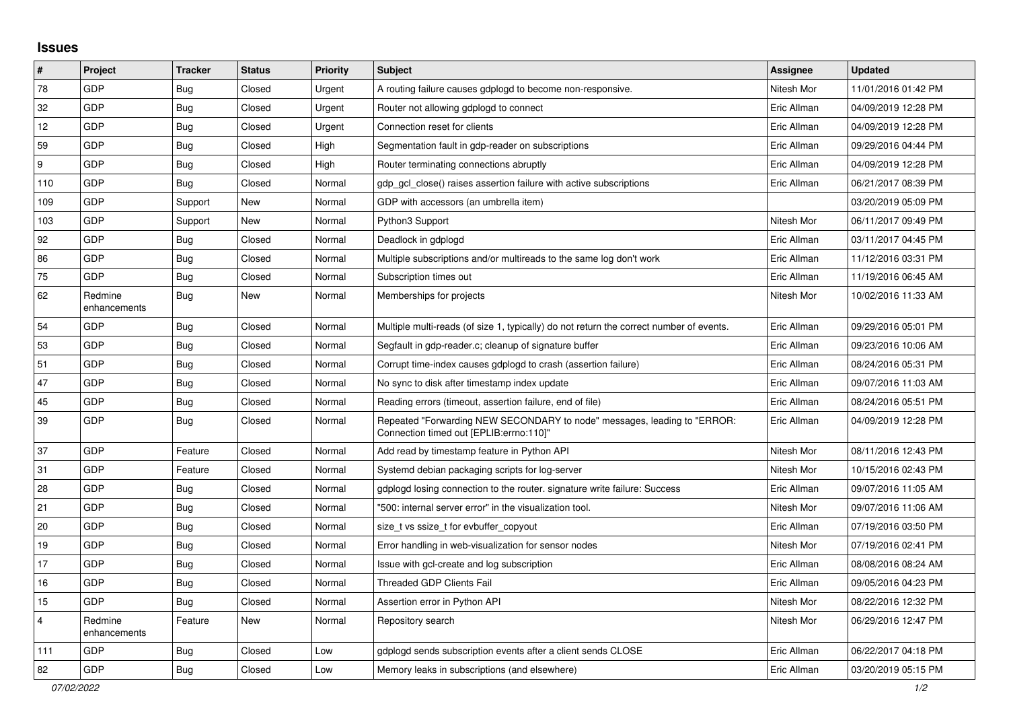## **Issues**

| $\pmb{\sharp}$          | Project                 | <b>Tracker</b> | <b>Status</b> | <b>Priority</b> | <b>Subject</b>                                                                                                      | <b>Assignee</b> | <b>Updated</b>      |
|-------------------------|-------------------------|----------------|---------------|-----------------|---------------------------------------------------------------------------------------------------------------------|-----------------|---------------------|
| 78                      | GDP                     | Bug            | Closed        | Urgent          | A routing failure causes gdplogd to become non-responsive.                                                          | Nitesh Mor      | 11/01/2016 01:42 PM |
| 32                      | GDP                     | Bug            | Closed        | Urgent          | Router not allowing gdplogd to connect                                                                              | Eric Allman     | 04/09/2019 12:28 PM |
| 12                      | GDP                     | Bug            | Closed        | Urgent          | Connection reset for clients                                                                                        | Eric Allman     | 04/09/2019 12:28 PM |
| 59                      | GDP                     | <b>Bug</b>     | Closed        | High            | Segmentation fault in gdp-reader on subscriptions                                                                   | Eric Allman     | 09/29/2016 04:44 PM |
| 9                       | GDP                     | <b>Bug</b>     | Closed        | High            | Router terminating connections abruptly                                                                             | Eric Allman     | 04/09/2019 12:28 PM |
| 110                     | GDP                     | <b>Bug</b>     | Closed        | Normal          | gdp gcl close() raises assertion failure with active subscriptions                                                  | Eric Allman     | 06/21/2017 08:39 PM |
| 109                     | GDP                     | Support        | <b>New</b>    | Normal          | GDP with accessors (an umbrella item)                                                                               |                 | 03/20/2019 05:09 PM |
| 103                     | GDP                     | Support        | New           | Normal          | Python3 Support                                                                                                     | Nitesh Mor      | 06/11/2017 09:49 PM |
| 92                      | GDP                     | <b>Bug</b>     | Closed        | Normal          | Deadlock in gdplogd                                                                                                 | Eric Allman     | 03/11/2017 04:45 PM |
| 86                      | GDP                     | Bug            | Closed        | Normal          | Multiple subscriptions and/or multireads to the same log don't work                                                 | Eric Allman     | 11/12/2016 03:31 PM |
| 75                      | GDP                     | Bug            | Closed        | Normal          | Subscription times out                                                                                              | Eric Allman     | 11/19/2016 06:45 AM |
| 62                      | Redmine<br>enhancements | <b>Bug</b>     | New           | Normal          | Memberships for projects                                                                                            | Nitesh Mor      | 10/02/2016 11:33 AM |
| 54                      | <b>GDP</b>              | <b>Bug</b>     | Closed        | Normal          | Multiple multi-reads (of size 1, typically) do not return the correct number of events.                             | Eric Allman     | 09/29/2016 05:01 PM |
| 53                      | <b>GDP</b>              | Bug            | Closed        | Normal          | Segfault in gdp-reader.c; cleanup of signature buffer                                                               | Eric Allman     | 09/23/2016 10:06 AM |
| 51                      | GDP                     | <b>Bug</b>     | Closed        | Normal          | Corrupt time-index causes gdplogd to crash (assertion failure)                                                      | Eric Allman     | 08/24/2016 05:31 PM |
| 47                      | GDP                     | Bug            | Closed        | Normal          | No sync to disk after timestamp index update                                                                        | Eric Allman     | 09/07/2016 11:03 AM |
| 45                      | GDP                     | <b>Bug</b>     | Closed        | Normal          | Reading errors (timeout, assertion failure, end of file)                                                            | Eric Allman     | 08/24/2016 05:51 PM |
| 39                      | GDP                     | <b>Bug</b>     | Closed        | Normal          | Repeated "Forwarding NEW SECONDARY to node" messages, leading to "ERROR:<br>"Connection timed out [EPLIB:errno:110] | Eric Allman     | 04/09/2019 12:28 PM |
| 37                      | GDP                     | Feature        | Closed        | Normal          | Add read by timestamp feature in Python API                                                                         | Nitesh Mor      | 08/11/2016 12:43 PM |
| 31                      | GDP                     | Feature        | Closed        | Normal          | Systemd debian packaging scripts for log-server                                                                     | Nitesh Mor      | 10/15/2016 02:43 PM |
| 28                      | <b>GDP</b>              | Bug            | Closed        | Normal          | gdplogd losing connection to the router, signature write failure: Success                                           | Eric Allman     | 09/07/2016 11:05 AM |
| 21                      | GDP                     | Bug            | Closed        | Normal          | '500: internal server error" in the visualization tool.                                                             | Nitesh Mor      | 09/07/2016 11:06 AM |
| 20                      | <b>GDP</b>              | Bug            | Closed        | Normal          | size t vs ssize t for evbuffer copyout                                                                              | Eric Allman     | 07/19/2016 03:50 PM |
| 19                      | GDP                     | Bug            | Closed        | Normal          | Error handling in web-visualization for sensor nodes                                                                | Nitesh Mor      | 07/19/2016 02:41 PM |
| 17                      | GDP                     | <b>Bug</b>     | Closed        | Normal          | Issue with gcl-create and log subscription                                                                          | Eric Allman     | 08/08/2016 08:24 AM |
| 16                      | GDP                     | <b>Bug</b>     | Closed        | Normal          | Threaded GDP Clients Fail                                                                                           | Eric Allman     | 09/05/2016 04:23 PM |
| 15                      | GDP                     | Bug            | Closed        | Normal          | Assertion error in Python API                                                                                       | Nitesh Mor      | 08/22/2016 12:32 PM |
| $\overline{\mathbf{4}}$ | Redmine<br>enhancements | Feature        | New           | Normal          | Repository search                                                                                                   | Nitesh Mor      | 06/29/2016 12:47 PM |
| 111                     | GDP                     | <b>Bug</b>     | Closed        | Low             | adpload sends subscription events after a client sends CLOSE                                                        | Eric Allman     | 06/22/2017 04:18 PM |
| 82                      | GDP                     | Bug            | Closed        | Low             | Memory leaks in subscriptions (and elsewhere)                                                                       | Eric Allman     | 03/20/2019 05:15 PM |